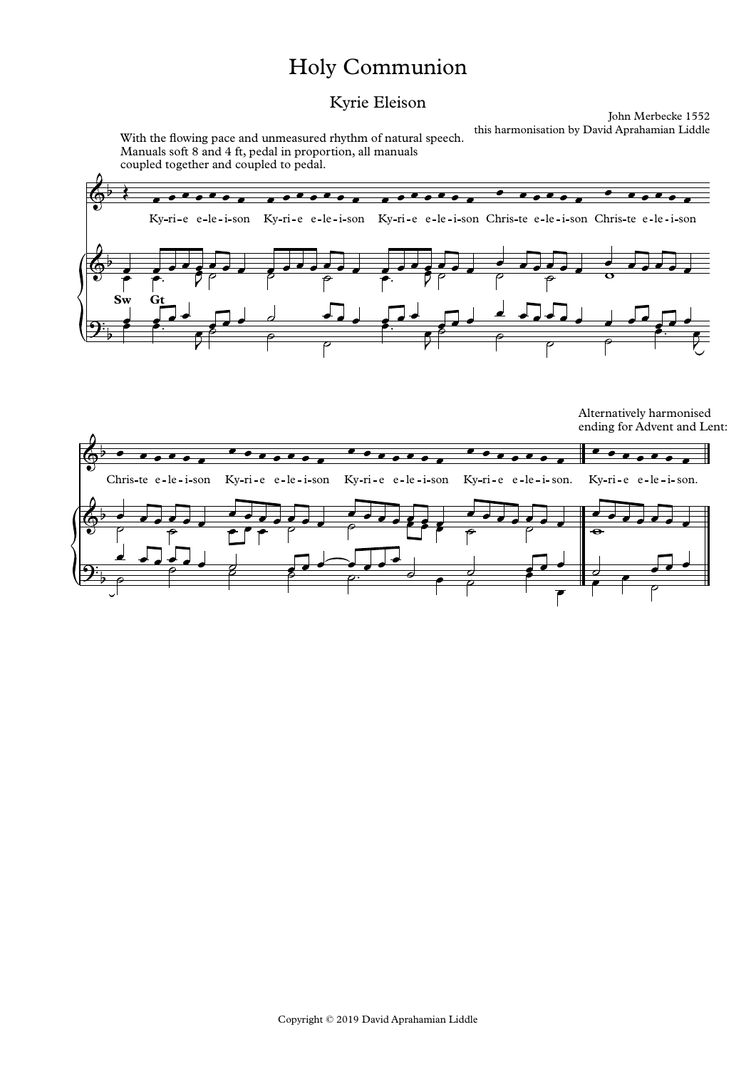## Holy Communion

## Kyrie Eleison

John Merbecke 1552

With the flowing pace and unmeasured rhythm of natural speech. Manuals soft 8 and 4 ft, pedal in proportion, all manuals coupled together and coupled to pedal. this harmonisation by David Aprahamian Liddle



Alternatively harmonised ending for Advent and Lent: